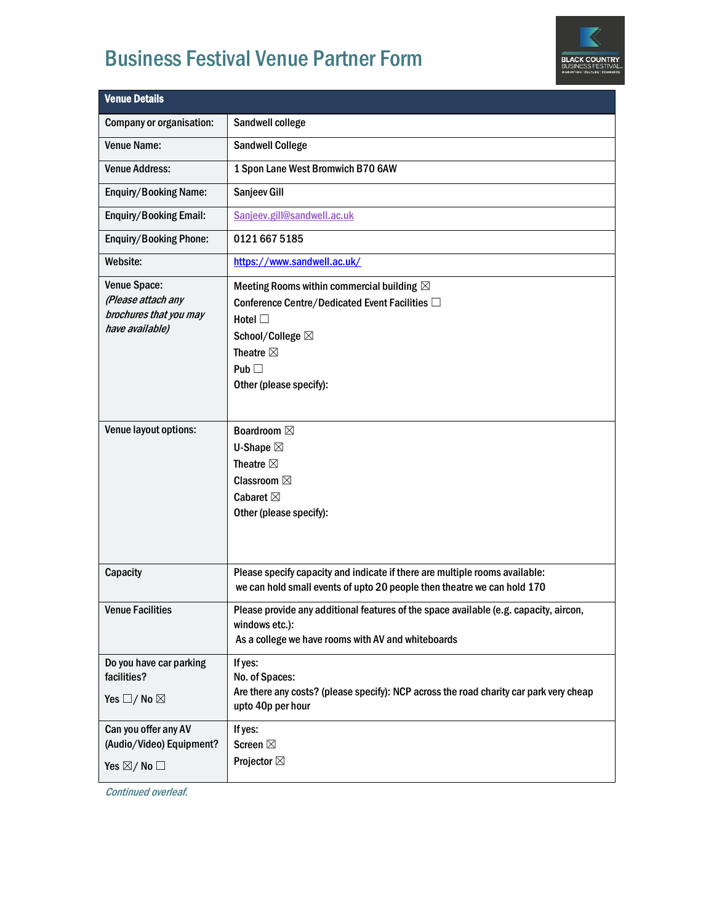## Business Festival Venue Partner Form



| <b>Venue Details</b>                                                            |                                                                                                                                                                                                        |  |
|---------------------------------------------------------------------------------|--------------------------------------------------------------------------------------------------------------------------------------------------------------------------------------------------------|--|
| Company or organisation:                                                        | Sandwell college                                                                                                                                                                                       |  |
| <b>Venue Name:</b>                                                              | <b>Sandwell College</b>                                                                                                                                                                                |  |
| <b>Venue Address:</b>                                                           | 1 Spon Lane West Bromwich B70 6AW                                                                                                                                                                      |  |
| <b>Enquiry/Booking Name:</b>                                                    | Sanjeev Gill                                                                                                                                                                                           |  |
| <b>Enquiry/Booking Email:</b>                                                   | Sanjeev.gill@sandwell.ac.uk                                                                                                                                                                            |  |
| <b>Enquiry/Booking Phone:</b>                                                   | 0121 667 5185                                                                                                                                                                                          |  |
| Website:                                                                        | https://www.sandwell.ac.uk/                                                                                                                                                                            |  |
| Venue Space:<br>(Please attach any<br>brochures that you may<br>have available) | Meeting Rooms within commercial building $\boxtimes$<br>Conference Centre/Dedicated Event Facilities □<br>Hotel $\square$<br>School/College ⊠<br>Theatre $\boxtimes$<br>Pub<br>Other (please specify): |  |
| Venue layout options:                                                           | <b>Boardroom</b> ⊠<br><b>U-Shape</b> ⊠<br>Theatre $\boxtimes$<br><b>Classroom</b> ⊠<br>Cabaret $\boxtimes$<br>Other (please specify):                                                                  |  |
| Capacity                                                                        | Please specify capacity and indicate if there are multiple rooms available:<br>we can hold small events of upto 20 people then theatre we can hold 170                                                 |  |
| <b>Venue Facilities</b>                                                         | Please provide any additional features of the space available (e.g. capacity, aircon,<br>windows etc.):<br>As a college we have rooms with AV and whiteboards                                          |  |
| Do you have car parking<br>facilities?<br>Yes $\square$ / No $\square$          | If yes:<br>No. of Spaces:<br>Are there any costs? (please specify): NCP across the road charity car park very cheap<br>upto 40p per hour                                                               |  |
| Can you offer any AV<br>(Audio/Video) Equipment?<br>Yes $\boxtimes$ / No $\Box$ | If yes:<br><b>Screen</b> ⊠<br><b>Projector</b> ⊠                                                                                                                                                       |  |

Continued overleaf.